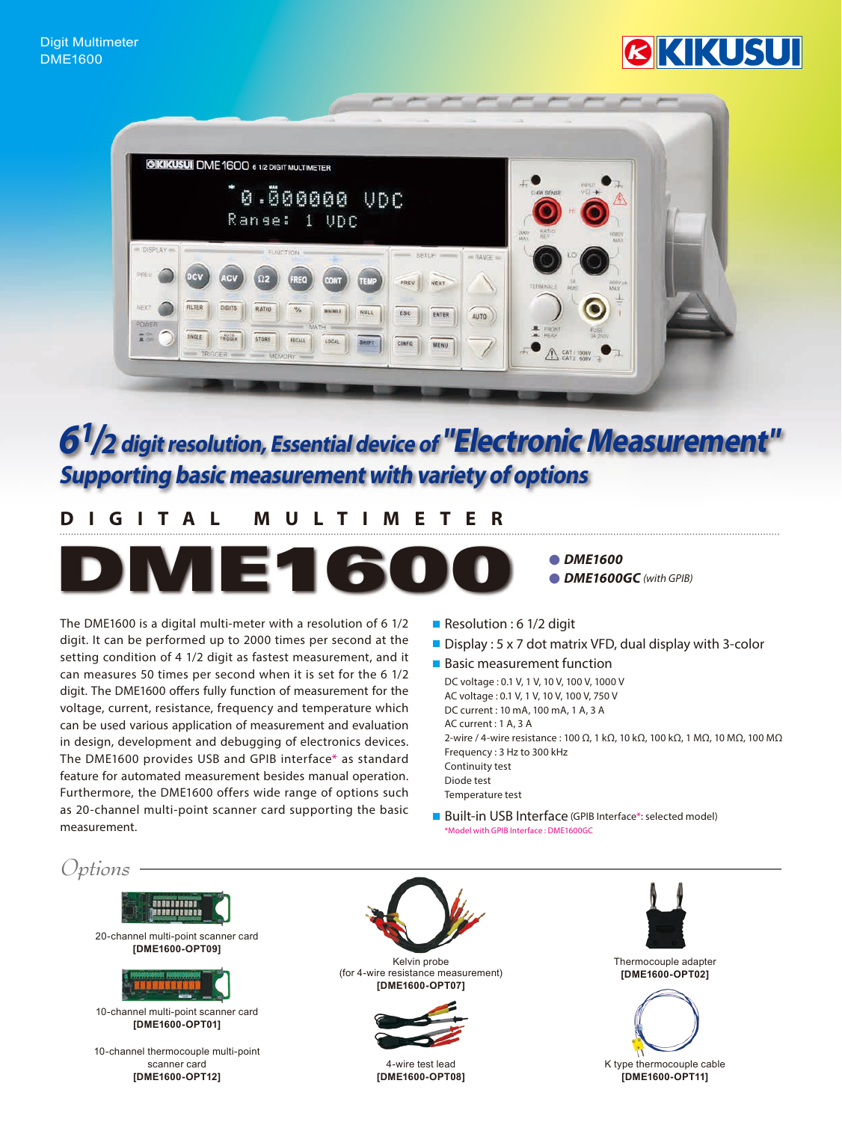# KIKUSU



# **Supporting basic measurement with variety of options**  $6<sup>1</sup>/2$  digit resolution, Essential device of "Electronic Measurement"

# **MULTIMETER DIGITAL**



● DME1600 *(BDME1600GC (with GPIB)* 

The DME1600 is a digital multi-meter with a resolution of  $6\frac{1}{2}$ digit. It can be performed up to 2000 times per second at the setting condition of 4 1/2 digit as fastest measurement, and it can measures 50 times per second when it is set for the 6 1/2 digit. The DME1600 offers fully function of measurement for the voltage, current, resistance, frequency and temperature which can be used various application of measurement and evaluation in design, development and debugging of electronics devices. The DME1600 provides USB and GPIB interface\* as standard feature for automated measurement besides manual operation. Furthermore, the DME1600 offers wide range of options such as 20-channel multi-point scanner card supporting the basic .measurement

- Resolution : 6 1/2 digit
- **Display : 5 x 7 dot matrix VFD, dual display with 3-color**
- Basic measurement function DC voltage: 0.1 V, 1 V, 10 V, 100 V, 1000 V AC voltage: 0.1 V, 1 V, 10 V, 100 V, 750 V DC current : 10 mA, 100 mA, 1 A, 3 A  $AC$  current :  $1 A. 3 A$ 2-wire / 4-wire resistance: 100 Ω, 1 kΩ, 10 kΩ, 100 kΩ, 1 MΩ, 10 MΩ, 100 MΩ Frequency: 3 Hz to 300 kHz Continuity test Diode test Temperature test
- Built-in USB Interface (GPIB Interface\*: selected model) Model with GPIB Interface : DME1600GC\*

*Options*





4-wire test lead [DME1600-OPT08]





K type thermocouple cable [DME1600-OPT11]